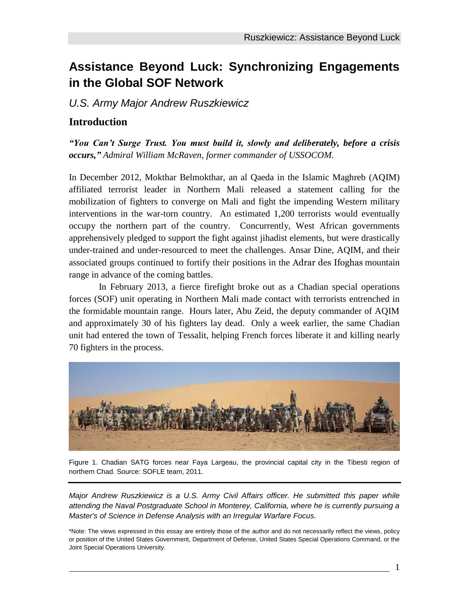# **Assistance Beyond Luck: Synchronizing Engagements in the Global SOF Network**

*U.S. Army Major Andrew Ruszkiewicz*

## **Introduction**

*"You Can't Surge Trust. You must build it, slowly and deliberately, before a crisis occurs," Admiral William McRaven, former commander of USSOCOM.*

In December 2012, Mokthar Belmokthar, an al Qaeda in the Islamic Maghreb (AQIM) affiliated terrorist leader in Northern Mali released a statement calling for the mobilization of fighters to converge on Mali and fight the impending Western military interventions in the war-torn country. An estimated 1,200 terrorists would eventually occupy the northern part of the country. Concurrently, West African governments apprehensively pledged to support the fight against jihadist elements, but were drastically under-trained and under-resourced to meet the challenges. Ansar Dine, AQIM, and their associated groups continued to fortify their positions in the Adrar des Ifoghas mountain range in advance of the coming battles.

In February 2013, a fierce firefight broke out as a Chadian special operations forces (SOF) unit operating in Northern Mali made contact with terrorists entrenched in the formidable mountain range. Hours later, Abu Zeid, the deputy commander of AQIM and approximately 30 of his fighters lay dead. Only a week earlier, the same Chadian unit had entered the town of Tessalit, helping French forces liberate it and killing nearly 70 fighters in the process.



Figure 1. Chadian SATG forces near Faya Largeau, the provincial capital city in the Tibesti region of northern Chad. Source: SOFLE team, 2011.

*Major Andrew Ruszkiewicz is a U.S. Army Civil Affairs officer. He submitted this paper while attending the Naval Postgraduate School in Monterey, California, where he is currently pursuing a Master's of Science in Defense Analysis with an Irregular Warfare Focus.*

\*Note: The views expressed in this essay are entirely those of the author and do not necessarily reflect the views, policy or position of the United States Government, Department of Defense, United States Special Operations Command, or the Joint Special Operations University.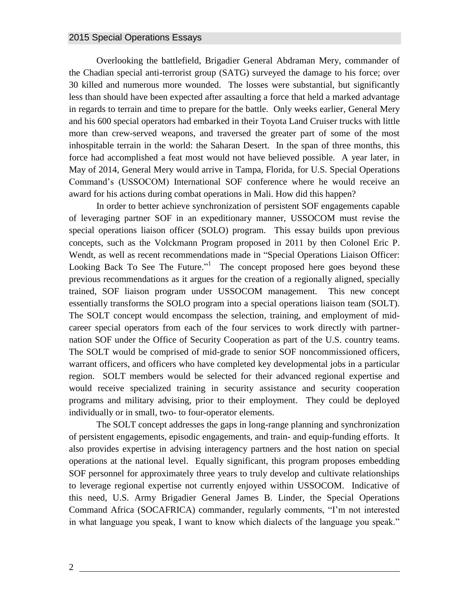Overlooking the battlefield, Brigadier General Abdraman Mery, commander of the Chadian special anti-terrorist group (SATG) surveyed the damage to his force; over 30 killed and numerous more wounded. The losses were substantial, but significantly less than should have been expected after assaulting a force that held a marked advantage in regards to terrain and time to prepare for the battle. Only weeks earlier, General Mery and his 600 special operators had embarked in their Toyota Land Cruiser trucks with little more than crew-served weapons, and traversed the greater part of some of the most inhospitable terrain in the world: the Saharan Desert. In the span of three months, this force had accomplished a feat most would not have believed possible. A year later, in May of 2014, General Mery would arrive in Tampa, Florida, for U.S. Special Operations Command's (USSOCOM) International SOF conference where he would receive an award for his actions during combat operations in Mali. How did this happen?

In order to better achieve synchronization of persistent SOF engagements capable of leveraging partner SOF in an expeditionary manner, USSOCOM must revise the special operations liaison officer (SOLO) program. This essay builds upon previous concepts, such as the Volckmann Program proposed in 2011 by then Colonel Eric P. Wendt, as well as recent recommendations made in "Special Operations Liaison Officer: Looking Back To See The Future." The concept proposed here goes beyond these previous recommendations as it argues for the creation of a regionally aligned, specially trained, SOF liaison program under USSOCOM management. This new concept essentially transforms the SOLO program into a special operations liaison team (SOLT). The SOLT concept would encompass the selection, training, and employment of midcareer special operators from each of the four services to work directly with partnernation SOF under the Office of Security Cooperation as part of the U.S. country teams. The SOLT would be comprised of mid-grade to senior SOF noncommissioned officers, warrant officers, and officers who have completed key developmental jobs in a particular region. SOLT members would be selected for their advanced regional expertise and would receive specialized training in security assistance and security cooperation programs and military advising, prior to their employment. They could be deployed individually or in small, two- to four-operator elements.

The SOLT concept addresses the gaps in long-range planning and synchronization of persistent engagements, episodic engagements, and train- and equip-funding efforts. It also provides expertise in advising interagency partners and the host nation on special operations at the national level. Equally significant, this program proposes embedding SOF personnel for approximately three years to truly develop and cultivate relationships to leverage regional expertise not currently enjoyed within USSOCOM. Indicative of this need, U.S. Army Brigadier General James B. Linder, the Special Operations Command Africa (SOCAFRICA) commander, regularly comments, "I'm not interested in what language you speak, I want to know which dialects of the language you speak."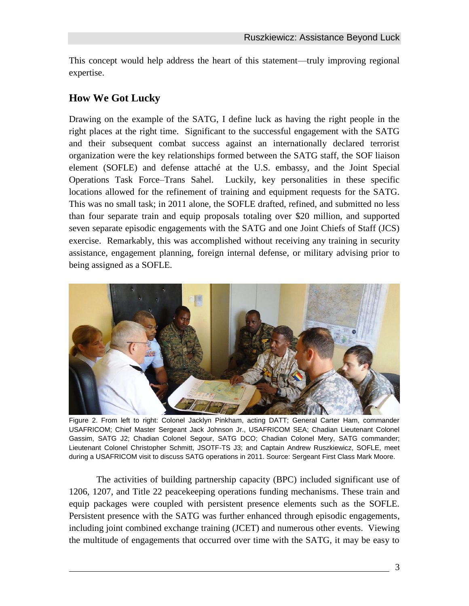This concept would help address the heart of this statement—truly improving regional expertise.

# **How We Got Lucky**

Drawing on the example of the SATG, I define luck as having the right people in the right places at the right time. Significant to the successful engagement with the SATG and their subsequent combat success against an internationally declared terrorist organization were the key relationships formed between the SATG staff, the SOF liaison element (SOFLE) and defense attaché at the U.S. embassy, and the Joint Special Operations Task Force–Trans Sahel. Luckily, key personalities in these specific locations allowed for the refinement of training and equipment requests for the SATG. This was no small task; in 2011 alone, the SOFLE drafted, refined, and submitted no less than four separate train and equip proposals totaling over \$20 million, and supported seven separate episodic engagements with the SATG and one Joint Chiefs of Staff (JCS) exercise. Remarkably, this was accomplished without receiving any training in security assistance, engagement planning, foreign internal defense, or military advising prior to being assigned as a SOFLE.



Figure 2. From left to right: Colonel Jacklyn Pinkham, acting DATT; General Carter Ham, commander USAFRICOM; Chief Master Sergeant Jack Johnson Jr., USAFRICOM SEA; Chadian Lieutenant Colonel Gassim, SATG J2; Chadian Colonel Segour, SATG DCO; Chadian Colonel Mery, SATG commander; Lieutenant Colonel Christopher Schmitt, JSOTF-TS J3; and Captain Andrew Ruszkiewicz, SOFLE, meet during a USAFRICOM visit to discuss SATG operations in 2011. Source: Sergeant First Class Mark Moore.

The activities of building partnership capacity (BPC) included significant use of 1206, 1207, and Title 22 peacekeeping operations funding mechanisms. These train and equip packages were coupled with persistent presence elements such as the SOFLE. Persistent presence with the SATG was further enhanced through episodic engagements, including joint combined exchange training (JCET) and numerous other events. Viewing the multitude of engagements that occurred over time with the SATG, it may be easy to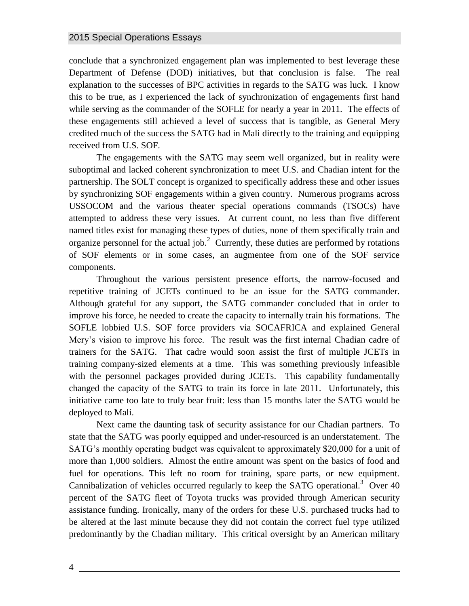conclude that a synchronized engagement plan was implemented to best leverage these Department of Defense (DOD) initiatives, but that conclusion is false. The real explanation to the successes of BPC activities in regards to the SATG was luck. I know this to be true, as I experienced the lack of synchronization of engagements first hand while serving as the commander of the SOFLE for nearly a year in 2011. The effects of these engagements still achieved a level of success that is tangible, as General Mery credited much of the success the SATG had in Mali directly to the training and equipping received from U.S. SOF.

The engagements with the SATG may seem well organized, but in reality were suboptimal and lacked coherent synchronization to meet U.S. and Chadian intent for the partnership. The SOLT concept is organized to specifically address these and other issues by synchronizing SOF engagements within a given country. Numerous programs across USSOCOM and the various theater special operations commands (TSOCs) have attempted to address these very issues. At current count, no less than five different named titles exist for managing these types of duties, none of them specifically train and organize personnel for the actual job.<sup>2</sup> Currently, these duties are performed by rotations of SOF elements or in some cases, an augmentee from one of the SOF service components.

Throughout the various persistent presence efforts, the narrow-focused and repetitive training of JCETs continued to be an issue for the SATG commander. Although grateful for any support, the SATG commander concluded that in order to improve his force, he needed to create the capacity to internally train his formations. The SOFLE lobbied U.S. SOF force providers via SOCAFRICA and explained General Mery's vision to improve his force. The result was the first internal Chadian cadre of trainers for the SATG. That cadre would soon assist the first of multiple JCETs in training company-sized elements at a time. This was something previously infeasible with the personnel packages provided during JCETs. This capability fundamentally changed the capacity of the SATG to train its force in late 2011. Unfortunately, this initiative came too late to truly bear fruit: less than 15 months later the SATG would be deployed to Mali.

Next came the daunting task of security assistance for our Chadian partners. To state that the SATG was poorly equipped and under-resourced is an understatement. The SATG's monthly operating budget was equivalent to approximately \$20,000 for a unit of more than 1,000 soldiers. Almost the entire amount was spent on the basics of food and fuel for operations. This left no room for training, spare parts, or new equipment. Cannibalization of vehicles occurred regularly to keep the SATG operational.<sup>3</sup> Over 40 percent of the SATG fleet of Toyota trucks was provided through American security assistance funding. Ironically, many of the orders for these U.S. purchased trucks had to be altered at the last minute because they did not contain the correct fuel type utilized predominantly by the Chadian military. This critical oversight by an American military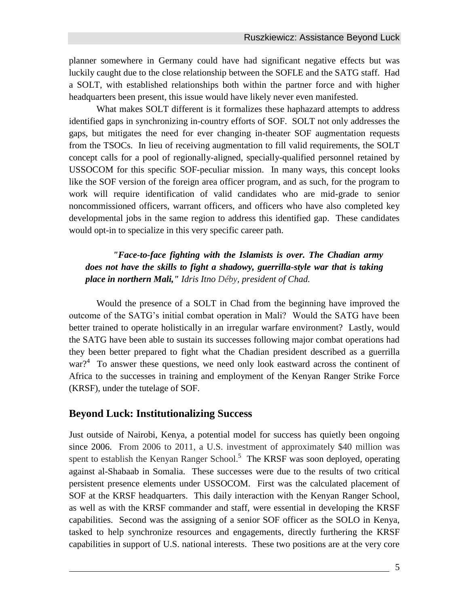planner somewhere in Germany could have had significant negative effects but was luckily caught due to the close relationship between the SOFLE and the SATG staff. Had a SOLT, with established relationships both within the partner force and with higher headquarters been present, this issue would have likely never even manifested.

What makes SOLT different is it formalizes these haphazard attempts to address identified gaps in synchronizing in-country efforts of SOF. SOLT not only addresses the gaps, but mitigates the need for ever changing in-theater SOF augmentation requests from the TSOCs. In lieu of receiving augmentation to fill valid requirements, the SOLT concept calls for a pool of regionally-aligned, specially-qualified personnel retained by USSOCOM for this specific SOF-peculiar mission. In many ways, this concept looks like the SOF version of the foreign area officer program, and as such, for the program to work will require identification of valid candidates who are mid-grade to senior noncommissioned officers, warrant officers, and officers who have also completed key developmental jobs in the same region to address this identified gap. These candidates would opt-in to specialize in this very specific career path.

#### *"Face-to-face fighting with the Islamists is over. The Chadian army does not have the skills to fight a shadowy, guerrilla-style war that is taking place in northern Mali," Idris Itno Déby, president of Chad.*

Would the presence of a SOLT in Chad from the beginning have improved the outcome of the SATG's initial combat operation in Mali? Would the SATG have been better trained to operate holistically in an irregular warfare environment? Lastly, would the SATG have been able to sustain its successes following major combat operations had they been better prepared to fight what the Chadian president described as a guerrilla war?<sup>4</sup> To answer these questions, we need only look eastward across the continent of Africa to the successes in training and employment of the Kenyan Ranger Strike Force (KRSF), under the tutelage of SOF.

## **Beyond Luck: Institutionalizing Success**

Just outside of Nairobi, Kenya, a potential model for success has quietly been ongoing since 2006. From 2006 to 2011, a U.S. investment of approximately \$40 million was spent to establish the Kenyan Ranger School.<sup>5</sup> The KRSF was soon deployed, operating against al-Shabaab in Somalia. These successes were due to the results of two critical persistent presence elements under USSOCOM. First was the calculated placement of SOF at the KRSF headquarters. This daily interaction with the Kenyan Ranger School, as well as with the KRSF commander and staff, were essential in developing the KRSF capabilities. Second was the assigning of a senior SOF officer as the SOLO in Kenya, tasked to help synchronize resources and engagements, directly furthering the KRSF capabilities in support of U.S. national interests. These two positions are at the very core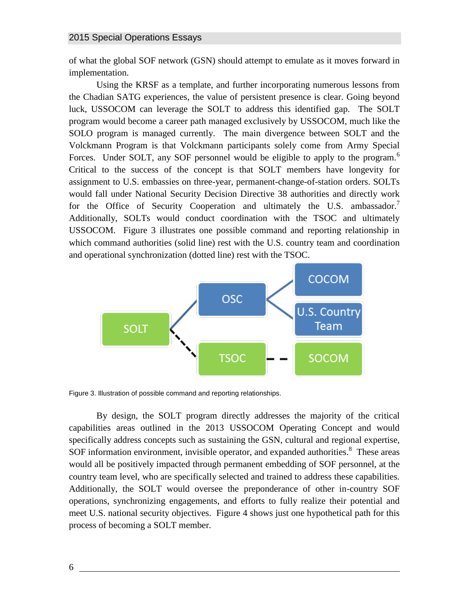of what the global SOF network (GSN) should attempt to emulate as it moves forward in implementation.

Using the KRSF as a template, and further incorporating numerous lessons from the Chadian SATG experiences, the value of persistent presence is clear. Going beyond luck, USSOCOM can leverage the SOLT to address this identified gap. The SOLT program would become a career path managed exclusively by USSOCOM, much like the SOLO program is managed currently. The main divergence between SOLT and the Volckmann Program is that Volckmann participants solely come from Army Special Forces. Under SOLT, any SOF personnel would be eligible to apply to the program.<sup>6</sup> Critical to the success of the concept is that SOLT members have longevity for assignment to U.S. embassies on three-year, permanent-change-of-station orders. SOLTs would fall under National Security Decision Directive 38 authorities and directly work for the Office of Security Cooperation and ultimately the U.S. ambassador.<sup>7</sup> Additionally, SOLTs would conduct coordination with the TSOC and ultimately USSOCOM. Figure 3 illustrates one possible command and reporting relationship in which command authorities (solid line) rest with the U.S. country team and coordination and operational synchronization (dotted line) rest with the TSOC.



Figure 3. Illustration of possible command and reporting relationships.

By design, the SOLT program directly addresses the majority of the critical capabilities areas outlined in the 2013 USSOCOM Operating Concept and would specifically address concepts such as sustaining the GSN, cultural and regional expertise, SOF information environment, invisible operator, and expanded authorities.<sup>8</sup> These areas would all be positively impacted through permanent embedding of SOF personnel, at the country team level, who are specifically selected and trained to address these capabilities. Additionally, the SOLT would oversee the preponderance of other in-country SOF operations, synchronizing engagements, and efforts to fully realize their potential and meet U.S. national security objectives. Figure 4 shows just one hypothetical path for this process of becoming a SOLT member.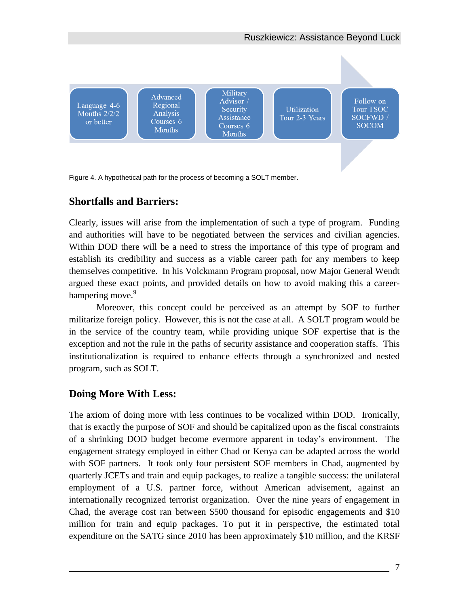

## **Shortfalls and Barriers:**

Clearly, issues will arise from the implementation of such a type of program. Funding and authorities will have to be negotiated between the services and civilian agencies. Within DOD there will be a need to stress the importance of this type of program and establish its credibility and success as a viable career path for any members to keep themselves competitive. In his Volckmann Program proposal, now Major General Wendt argued these exact points, and provided details on how to avoid making this a careerhampering move.<sup>9</sup>

Moreover, this concept could be perceived as an attempt by SOF to further militarize foreign policy. However, this is not the case at all. A SOLT program would be in the service of the country team, while providing unique SOF expertise that is the exception and not the rule in the paths of security assistance and cooperation staffs. This institutionalization is required to enhance effects through a synchronized and nested program, such as SOLT.

## **Doing More With Less:**

The axiom of doing more with less continues to be vocalized within DOD. Ironically, that is exactly the purpose of SOF and should be capitalized upon as the fiscal constraints of a shrinking DOD budget become evermore apparent in today's environment. The engagement strategy employed in either Chad or Kenya can be adapted across the world with SOF partners. It took only four persistent SOF members in Chad, augmented by quarterly JCETs and train and equip packages, to realize a tangible success: the unilateral employment of a U.S. partner force, without American advisement, against an internationally recognized terrorist organization. Over the nine years of engagement in Chad, the average cost ran between \$500 thousand for episodic engagements and \$10 million for train and equip packages. To put it in perspective, the estimated total expenditure on the SATG since 2010 has been approximately \$10 million, and the KRSF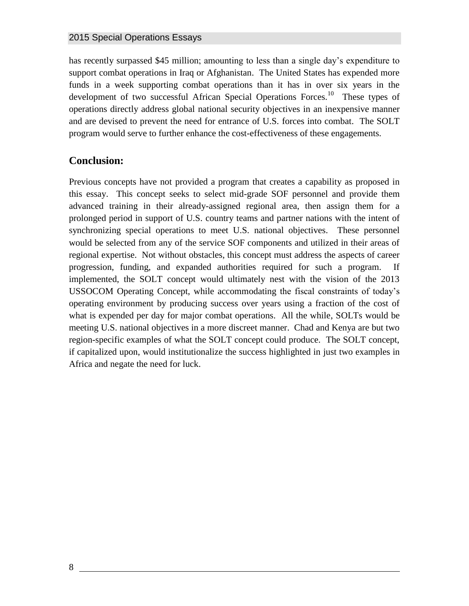has recently surpassed \$45 million; amounting to less than a single day's expenditure to support combat operations in Iraq or Afghanistan. The United States has expended more funds in a week supporting combat operations than it has in over six years in the development of two successful African Special Operations Forces.<sup>10</sup> These types of operations directly address global national security objectives in an inexpensive manner and are devised to prevent the need for entrance of U.S. forces into combat. The SOLT program would serve to further enhance the cost-effectiveness of these engagements.

## **Conclusion:**

Previous concepts have not provided a program that creates a capability as proposed in this essay. This concept seeks to select mid-grade SOF personnel and provide them advanced training in their already-assigned regional area, then assign them for a prolonged period in support of U.S. country teams and partner nations with the intent of synchronizing special operations to meet U.S. national objectives. These personnel would be selected from any of the service SOF components and utilized in their areas of regional expertise. Not without obstacles, this concept must address the aspects of career progression, funding, and expanded authorities required for such a program. If implemented, the SOLT concept would ultimately nest with the vision of the 2013 USSOCOM Operating Concept, while accommodating the fiscal constraints of today's operating environment by producing success over years using a fraction of the cost of what is expended per day for major combat operations. All the while, SOLTs would be meeting U.S. national objectives in a more discreet manner. Chad and Kenya are but two region-specific examples of what the SOLT concept could produce. The SOLT concept, if capitalized upon, would institutionalize the success highlighted in just two examples in Africa and negate the need for luck.